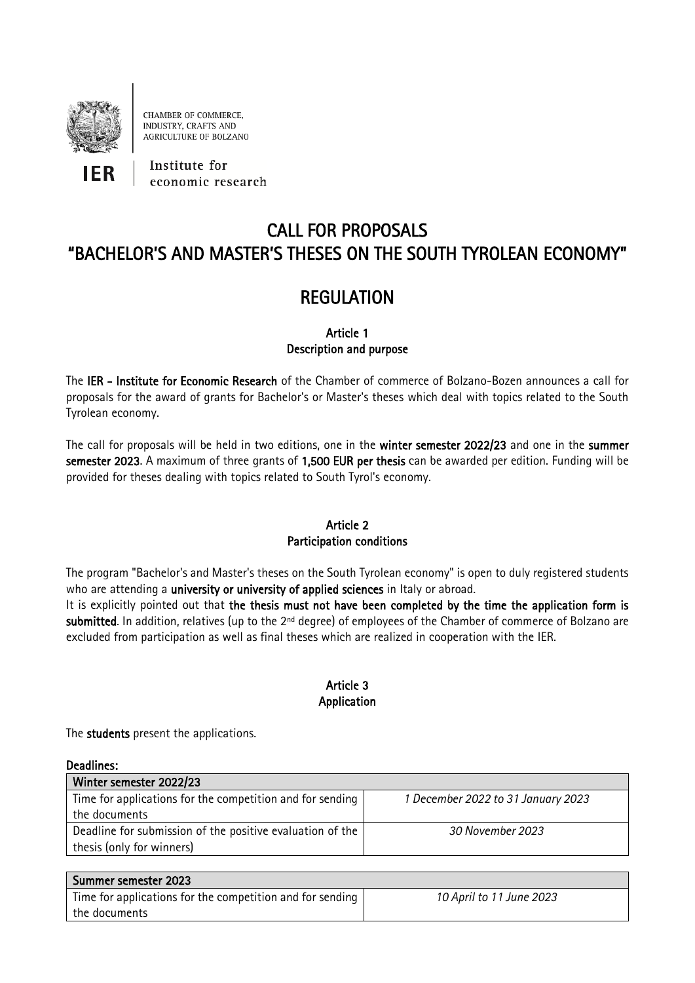

CHAMBER OF COMMERCE, **INDUSTRY, CRAFTS AND** AGRICULTURE OF BOLZANO

IFR

Institute for economic research

# CALL FOR PROPOSALS "BACHELOR'S AND MASTER'S THESES ON THE SOUTH TYROLEAN ECONOMY"

# **REGULATION**

# Article 1 Description and purpose

The IER - Institute for Economic Research of the Chamber of commerce of Bolzano-Bozen announces a call for proposals for the award of grants for Bachelor's or Master's theses which deal with topics related to the South Tyrolean economy.

The call for proposals will be held in two editions, one in the winter semester 2022/23 and one in the summer semester 2023. A maximum of three grants of 1,500 EUR per thesis can be awarded per edition. Funding will be provided for theses dealing with topics related to South Tyrol's economy.

# Article 2

# Participation conditions

The program "Bachelor's and Master's theses on the South Tyrolean economy" is open to duly registered students who are attending a university or university of applied sciences in Italy or abroad.

It is explicitly pointed out that the thesis must not have been completed by the time the application form is submitted. In addition, relatives (up to the 2<sup>nd</sup> degree) of employees of the Chamber of commerce of Bolzano are excluded from participation as well as final theses which are realized in cooperation with the IER.

# Article 3 Application

The students present the applications.

| <b>Deadlines:</b>                                           |                                    |
|-------------------------------------------------------------|------------------------------------|
| Winter semester 2022/23                                     |                                    |
| Time for applications for the competition and for sending   | 1 December 2022 to 31 January 2023 |
| the documents                                               |                                    |
| Deadline for submission of the positive evaluation of the I | 30 November 2023                   |
| thesis (only for winners)                                   |                                    |

| Summer semester 2023                                      |                          |
|-----------------------------------------------------------|--------------------------|
| Time for applications for the competition and for sending | 10 April to 11 June 2023 |
| l the documents                                           |                          |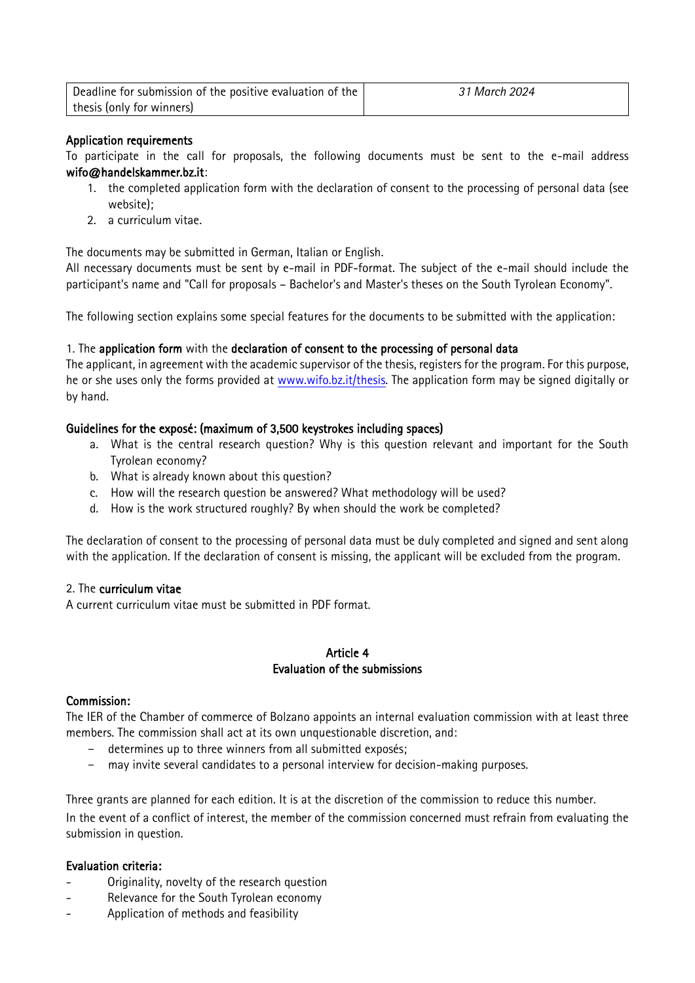| Deadline for submission of the positive evaluation of the | 31 March 2024 |
|-----------------------------------------------------------|---------------|
| thesis (only for winners)                                 |               |

## Application requirements

To participate in the call for proposals, the following documents must be sent to the e-mail address wifo@handelskammer.bz.it:

- 1. the completed application form with the declaration of consent to the processing of personal data (see website);
- 2. a curriculum vitae.

The documents may be submitted in German, Italian or English.

All necessary documents must be sent by e-mail in PDF-format. The subject of the e-mail should include the participant's name and "Call for proposals – Bachelor's and Master's theses on the South Tyrolean Economy".

The following section explains some special features for the documents to be submitted with the application:

## 1. The application form with the declaration of consent to the processing of personal data

The applicant, in agreement with the academic supervisor of the thesis, registers for the program. For this purpose, he or she uses only the forms provided at [www.wifo.bz.it/thesis.](http://www.wifo.bz.it/thesis) The application form may be signed digitally or by hand.

## Guidelines for the exposé: (maximum of 3,500 keystrokes including spaces)

- a. What is the central research question? Why is this question relevant and important for the South Tyrolean economy?
- b. What is already known about this question?
- c. How will the research question be answered? What methodology will be used?
- d. How is the work structured roughly? By when should the work be completed?

The declaration of consent to the processing of personal data must be duly completed and signed and sent along with the application. If the declaration of consent is missing, the applicant will be excluded from the program.

#### 2. The curriculum vitae

A current curriculum vitae must be submitted in PDF format.

## Article 4 Evaluation of the submissions

#### Commission:

The IER of the Chamber of commerce of Bolzano appoints an internal evaluation commission with at least three members. The commission shall act at its own unquestionable discretion, and:

- determines up to three winners from all submitted exposés;
- may invite several candidates to a personal interview for decision-making purposes.

Three grants are planned for each edition. It is at the discretion of the commission to reduce this number. In the event of a conflict of interest, the member of the commission concerned must refrain from evaluating the submission in question.

#### Evaluation criteria:

- Originality, novelty of the research question
- Relevance for the South Tyrolean economy
- Application of methods and feasibility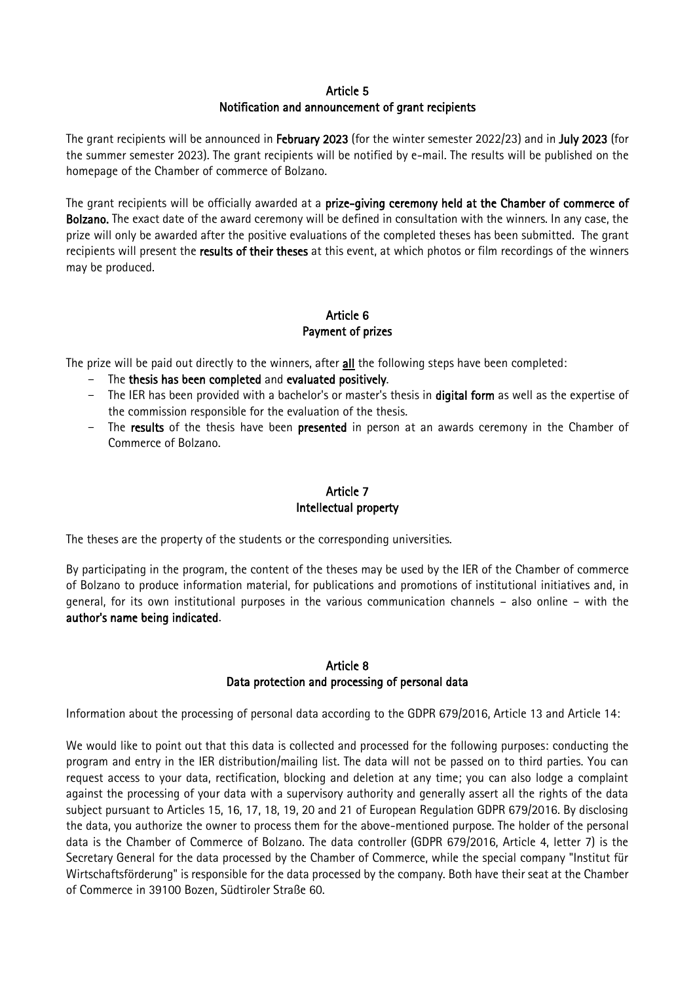## Article 5 Notification and announcement of grant recipients

The grant recipients will be announced in February 2023 (for the winter semester 2022/23) and in July 2023 (for the summer semester 2023). The grant recipients will be notified by e-mail. The results will be published on the homepage of the Chamber of commerce of Bolzano.

The grant recipients will be officially awarded at a prize-giving ceremony held at the Chamber of commerce of Bolzano. The exact date of the award ceremony will be defined in consultation with the winners. In any case, the prize will only be awarded after the positive evaluations of the completed theses has been submitted. The grant recipients will present the results of their theses at this event, at which photos or film recordings of the winners may be produced.

# Article 6 Payment of prizes

The prize will be paid out directly to the winners, after all the following steps have been completed:

- The thesis has been completed and evaluated positively.
- The IER has been provided with a bachelor's or master's thesis in digital form as well as the expertise of the commission responsible for the evaluation of the thesis.
- The results of the thesis have been presented in person at an awards ceremony in the Chamber of Commerce of Bolzano.

# Article 7 Intellectual property

The theses are the property of the students or the corresponding universities.

By participating in the program, the content of the theses may be used by the IER of the Chamber of commerce of Bolzano to produce information material, for publications and promotions of institutional initiatives and, in general, for its own institutional purposes in the various communication channels – also online – with the author's name being indicated.

## Article 8 Data protection and processing of personal data

Information about the processing of personal data according to the GDPR 679/2016, Article 13 and Article 14:

We would like to point out that this data is collected and processed for the following purposes: conducting the program and entry in the IER distribution/mailing list. The data will not be passed on to third parties. You can request access to your data, rectification, blocking and deletion at any time; you can also lodge a complaint against the processing of your data with a supervisory authority and generally assert all the rights of the data subject pursuant to Articles 15, 16, 17, 18, 19, 20 and 21 of European Regulation GDPR 679/2016. By disclosing the data, you authorize the owner to process them for the above-mentioned purpose. The holder of the personal data is the Chamber of Commerce of Bolzano. The data controller (GDPR 679/2016, Article 4, letter 7) is the Secretary General for the data processed by the Chamber of Commerce, while the special company "Institut für Wirtschaftsförderung" is responsible for the data processed by the company. Both have their seat at the Chamber of Commerce in 39100 Bozen, Südtiroler Straße 60.